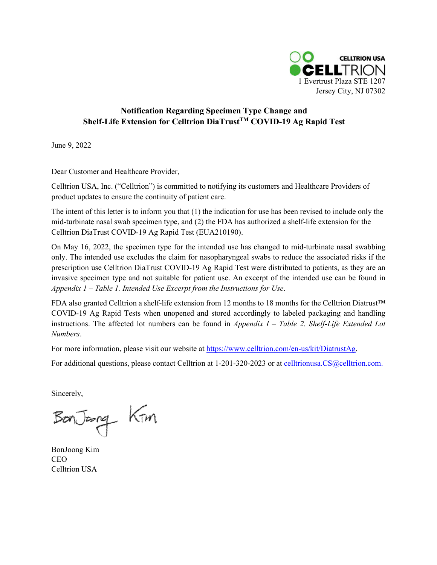

## **Notification Regarding Specimen Type Change and Shelf-Life Extension for Celltrion DiaTrustTM COVID-19 Ag Rapid Test**

June 9, 2022

Dear Customer and Healthcare Provider,

Celltrion USA, Inc. ("Celltrion") is committed to notifying its customers and Healthcare Providers of product updates to ensure the continuity of patient care.

The intent of this letter is to inform you that (1) the indication for use has been revised to include only the mid-turbinate nasal swab specimen type, and (2) the FDA has authorized a shelf-life extension for the Celltrion DiaTrust COVID-19 Ag Rapid Test (EUA210190).

On May 16, 2022, the specimen type for the intended use has changed to mid-turbinate nasal swabbing only. The intended use excludes the claim for nasopharyngeal swabs to reduce the associated risks if the prescription use Celltrion DiaTrust COVID-19 Ag Rapid Test were distributed to patients, as they are an invasive specimen type and not suitable for patient use. An excerpt of the intended use can be found in *Appendix 1 – Table 1. Intended Use Excerpt from the Instructions for Use*.

FDA also granted Celltrion a shelf-life extension from 12 months to 18 months for the Celltrion Diatrust™ COVID-19 Ag Rapid Tests when unopened and stored accordingly to labeled packaging and handling instructions. The affected lot numbers can be found in *Appendix I – Table 2. Shelf-Life Extended Lot Numbers*.

For more information, please visit our website at [https://www.celltrion.com/en-us/kit/DiatrustAg.](https://www.celltrion.com/en-us/kit/DiatrustAg)

For additional questions, please contact Celltrion at 1-201-320-2023 or at [celltrionusa.CS@celltrion.com.](mailto:celltrionusa.CS@celltrion.com)

Sincerely,

BonJoong Kim

BonJoong Kim CEO Celltrion USA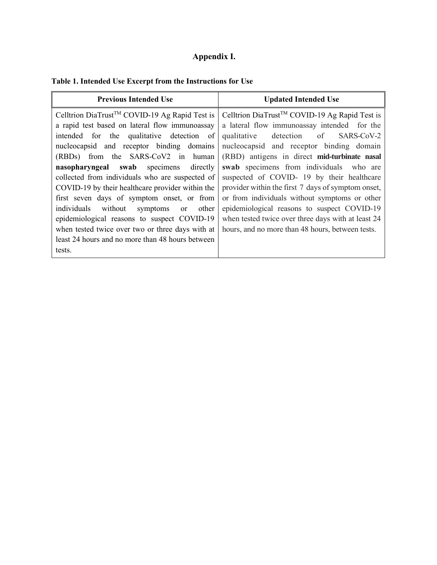## **Appendix I.**

## **Table 1. Intended Use Excerpt from the Instructions for Use**

| <b>Previous Intended Use</b>                                                                                                                                                                                                                                                                                                                                                                                              | <b>Updated Intended Use</b>                                                                                                                                                                                                                                                                                                                           |  |
|---------------------------------------------------------------------------------------------------------------------------------------------------------------------------------------------------------------------------------------------------------------------------------------------------------------------------------------------------------------------------------------------------------------------------|-------------------------------------------------------------------------------------------------------------------------------------------------------------------------------------------------------------------------------------------------------------------------------------------------------------------------------------------------------|--|
| Celltrion DiaTrust <sup>TM</sup> COVID-19 Ag Rapid Test is                                                                                                                                                                                                                                                                                                                                                                | Celltrion DiaTrust <sup>™</sup> COVID-19 Ag Rapid Test is                                                                                                                                                                                                                                                                                             |  |
| a rapid test based on lateral flow immunoassay                                                                                                                                                                                                                                                                                                                                                                            | a lateral flow immunoassay intended for the                                                                                                                                                                                                                                                                                                           |  |
| intended for the qualitative detection of                                                                                                                                                                                                                                                                                                                                                                                 | qualitative detection of SARS-CoV-2                                                                                                                                                                                                                                                                                                                   |  |
| nucleocapsid and receptor binding domains                                                                                                                                                                                                                                                                                                                                                                                 | nucleocapsid and receptor binding domain                                                                                                                                                                                                                                                                                                              |  |
| (RBDs) from the SARS-CoV2 in human                                                                                                                                                                                                                                                                                                                                                                                        | (RBD) antigens in direct mid-turbinate nasal                                                                                                                                                                                                                                                                                                          |  |
| directly<br>nasopharyngeal swab specimens<br>collected from individuals who are suspected of<br>COVID-19 by their healthcare provider within the<br>first seven days of symptom onset, or from<br>individuals without symptoms<br>other<br><sub>or</sub><br>epidemiological reasons to suspect COVID-19<br>when tested twice over two or three days with at<br>least 24 hours and no more than 48 hours between<br>tests. | swab specimens from individuals who are<br>suspected of COVID- 19 by their healthcare<br>provider within the first 7 days of symptom onset,<br>or from individuals without symptoms or other<br>epidemiological reasons to suspect COVID-19<br>when tested twice over three days with at least 24<br>hours, and no more than 48 hours, between tests. |  |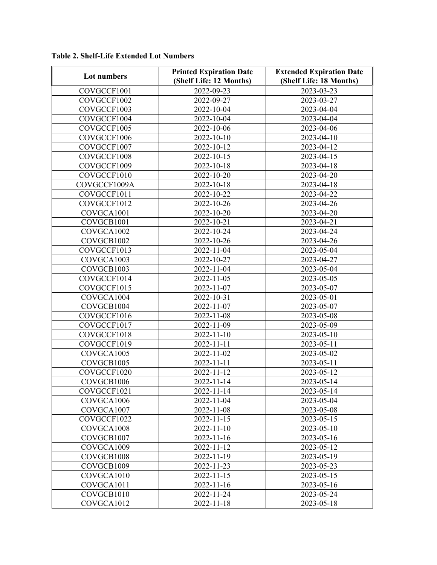| 2022-09-23<br>2023-03-23<br>COVGCCF1001<br>COVGCCF1002<br>2022-09-27<br>2023-03-27<br>COVGCCF1003<br>2022-10-04<br>2023-04-04<br>COVGCCF1004<br>2023-04-04<br>2022-10-04<br>COVGCCF1005<br>2022-10-06<br>2023-04-06<br>COVGCCF1006<br>2022-10-10<br>2023-04-10<br>COVGCCF1007<br>2022-10-12<br>2023-04-12<br>COVGCCF1008<br>2022-10-15<br>2023-04-15<br>COVGCCF1009<br>2022-10-18<br>2023-04-18<br>COVGCCF1010<br>2022-10-20<br>2023-04-20<br>COVGCCF1009A<br>2022-10-18<br>2023-04-18<br>2023-04-22<br>COVGCCF1011<br>2022-10-22<br>COVGCCF1012<br>2022-10-26<br>2023-04-26<br>COVGCA1001<br>2022-10-20<br>2023-04-20<br>COVGCB1001<br>2022-10-21<br>2023-04-21<br>2023-04-24<br>COVGCA1002<br>2022-10-24<br>2023-04-26<br>2022-10-26<br>COVGCB1002<br>2023-05-04<br>COVGCCF1013<br>2022-11-04<br>COVGCA1003<br>2022-10-27<br>2023-04-27<br>COVGCB1003<br>2022-11-04<br>2023-05-04<br>COVGCCF1014<br>2022-11-05<br>2023-05-05<br>COVGCCF1015<br>2022-11-07<br>2023-05-07<br>COVGCA1004<br>2022-10-31<br>2023-05-01<br>COVGCB1004<br>2022-11-07<br>2023-05-07<br>COVGCCF1016<br>2022-11-08<br>2023-05-08<br>COVGCCF1017<br>2022-11-09<br>2023-05-09<br>COVGCCF1018<br>$2022 - 11 - 10$<br>2023-05-10<br>COVGCCF1019<br>2022-11-11<br>2023-05-11<br>2022-11-02<br>2023-05-02<br>COVGCA1005<br>2022-11-11<br>2023-05-11<br>COVGCB1005<br>COVGCCF1020<br>2022-11-12<br>2023-05-12<br>COVGCB1006<br>2022-11-14<br>2023-05-14<br>COVGCCF1021<br>2022-11-14<br>2023-05-14<br>COVGCA1006<br>2022-11-04<br>2023-05-04<br>COVGCA1007<br>2022-11-08<br>2023-05-08<br>COVGCCF1022<br>$2022 - 11 - 15$<br>2023-05-15<br>COVGCA1008<br>2022-11-10<br>2023-05-10<br>2022-11-16<br>2023-05-16<br>COVGCB1007<br>COVGCA1009<br>2022-11-12<br>2023-05-12<br>COVGCB1008<br>2022-11-19<br>2023-05-19<br>COVGCB1009<br>2022-11-23<br>2023-05-23<br>2022-11-15<br>2023-05-15<br>COVGCA1010<br>COVGCA1011<br>2022-11-16<br>2023-05-16 | Lot numbers | <b>Printed Expiration Date</b> | <b>Extended Expiration Date</b> |
|----------------------------------------------------------------------------------------------------------------------------------------------------------------------------------------------------------------------------------------------------------------------------------------------------------------------------------------------------------------------------------------------------------------------------------------------------------------------------------------------------------------------------------------------------------------------------------------------------------------------------------------------------------------------------------------------------------------------------------------------------------------------------------------------------------------------------------------------------------------------------------------------------------------------------------------------------------------------------------------------------------------------------------------------------------------------------------------------------------------------------------------------------------------------------------------------------------------------------------------------------------------------------------------------------------------------------------------------------------------------------------------------------------------------------------------------------------------------------------------------------------------------------------------------------------------------------------------------------------------------------------------------------------------------------------------------------------------------------------------------------------------------------------------------------------------------------------------------------------------------------------------------------------------|-------------|--------------------------------|---------------------------------|
|                                                                                                                                                                                                                                                                                                                                                                                                                                                                                                                                                                                                                                                                                                                                                                                                                                                                                                                                                                                                                                                                                                                                                                                                                                                                                                                                                                                                                                                                                                                                                                                                                                                                                                                                                                                                                                                                                                                |             | (Shelf Life: 12 Months)        | (Shelf Life: 18 Months)         |
|                                                                                                                                                                                                                                                                                                                                                                                                                                                                                                                                                                                                                                                                                                                                                                                                                                                                                                                                                                                                                                                                                                                                                                                                                                                                                                                                                                                                                                                                                                                                                                                                                                                                                                                                                                                                                                                                                                                |             |                                |                                 |
|                                                                                                                                                                                                                                                                                                                                                                                                                                                                                                                                                                                                                                                                                                                                                                                                                                                                                                                                                                                                                                                                                                                                                                                                                                                                                                                                                                                                                                                                                                                                                                                                                                                                                                                                                                                                                                                                                                                |             |                                |                                 |
|                                                                                                                                                                                                                                                                                                                                                                                                                                                                                                                                                                                                                                                                                                                                                                                                                                                                                                                                                                                                                                                                                                                                                                                                                                                                                                                                                                                                                                                                                                                                                                                                                                                                                                                                                                                                                                                                                                                |             |                                |                                 |
|                                                                                                                                                                                                                                                                                                                                                                                                                                                                                                                                                                                                                                                                                                                                                                                                                                                                                                                                                                                                                                                                                                                                                                                                                                                                                                                                                                                                                                                                                                                                                                                                                                                                                                                                                                                                                                                                                                                |             |                                |                                 |
|                                                                                                                                                                                                                                                                                                                                                                                                                                                                                                                                                                                                                                                                                                                                                                                                                                                                                                                                                                                                                                                                                                                                                                                                                                                                                                                                                                                                                                                                                                                                                                                                                                                                                                                                                                                                                                                                                                                |             |                                |                                 |
|                                                                                                                                                                                                                                                                                                                                                                                                                                                                                                                                                                                                                                                                                                                                                                                                                                                                                                                                                                                                                                                                                                                                                                                                                                                                                                                                                                                                                                                                                                                                                                                                                                                                                                                                                                                                                                                                                                                |             |                                |                                 |
|                                                                                                                                                                                                                                                                                                                                                                                                                                                                                                                                                                                                                                                                                                                                                                                                                                                                                                                                                                                                                                                                                                                                                                                                                                                                                                                                                                                                                                                                                                                                                                                                                                                                                                                                                                                                                                                                                                                |             |                                |                                 |
|                                                                                                                                                                                                                                                                                                                                                                                                                                                                                                                                                                                                                                                                                                                                                                                                                                                                                                                                                                                                                                                                                                                                                                                                                                                                                                                                                                                                                                                                                                                                                                                                                                                                                                                                                                                                                                                                                                                |             |                                |                                 |
|                                                                                                                                                                                                                                                                                                                                                                                                                                                                                                                                                                                                                                                                                                                                                                                                                                                                                                                                                                                                                                                                                                                                                                                                                                                                                                                                                                                                                                                                                                                                                                                                                                                                                                                                                                                                                                                                                                                |             |                                |                                 |
|                                                                                                                                                                                                                                                                                                                                                                                                                                                                                                                                                                                                                                                                                                                                                                                                                                                                                                                                                                                                                                                                                                                                                                                                                                                                                                                                                                                                                                                                                                                                                                                                                                                                                                                                                                                                                                                                                                                |             |                                |                                 |
|                                                                                                                                                                                                                                                                                                                                                                                                                                                                                                                                                                                                                                                                                                                                                                                                                                                                                                                                                                                                                                                                                                                                                                                                                                                                                                                                                                                                                                                                                                                                                                                                                                                                                                                                                                                                                                                                                                                |             |                                |                                 |
|                                                                                                                                                                                                                                                                                                                                                                                                                                                                                                                                                                                                                                                                                                                                                                                                                                                                                                                                                                                                                                                                                                                                                                                                                                                                                                                                                                                                                                                                                                                                                                                                                                                                                                                                                                                                                                                                                                                |             |                                |                                 |
|                                                                                                                                                                                                                                                                                                                                                                                                                                                                                                                                                                                                                                                                                                                                                                                                                                                                                                                                                                                                                                                                                                                                                                                                                                                                                                                                                                                                                                                                                                                                                                                                                                                                                                                                                                                                                                                                                                                |             |                                |                                 |
|                                                                                                                                                                                                                                                                                                                                                                                                                                                                                                                                                                                                                                                                                                                                                                                                                                                                                                                                                                                                                                                                                                                                                                                                                                                                                                                                                                                                                                                                                                                                                                                                                                                                                                                                                                                                                                                                                                                |             |                                |                                 |
|                                                                                                                                                                                                                                                                                                                                                                                                                                                                                                                                                                                                                                                                                                                                                                                                                                                                                                                                                                                                                                                                                                                                                                                                                                                                                                                                                                                                                                                                                                                                                                                                                                                                                                                                                                                                                                                                                                                |             |                                |                                 |
|                                                                                                                                                                                                                                                                                                                                                                                                                                                                                                                                                                                                                                                                                                                                                                                                                                                                                                                                                                                                                                                                                                                                                                                                                                                                                                                                                                                                                                                                                                                                                                                                                                                                                                                                                                                                                                                                                                                |             |                                |                                 |
|                                                                                                                                                                                                                                                                                                                                                                                                                                                                                                                                                                                                                                                                                                                                                                                                                                                                                                                                                                                                                                                                                                                                                                                                                                                                                                                                                                                                                                                                                                                                                                                                                                                                                                                                                                                                                                                                                                                |             |                                |                                 |
|                                                                                                                                                                                                                                                                                                                                                                                                                                                                                                                                                                                                                                                                                                                                                                                                                                                                                                                                                                                                                                                                                                                                                                                                                                                                                                                                                                                                                                                                                                                                                                                                                                                                                                                                                                                                                                                                                                                |             |                                |                                 |
|                                                                                                                                                                                                                                                                                                                                                                                                                                                                                                                                                                                                                                                                                                                                                                                                                                                                                                                                                                                                                                                                                                                                                                                                                                                                                                                                                                                                                                                                                                                                                                                                                                                                                                                                                                                                                                                                                                                |             |                                |                                 |
|                                                                                                                                                                                                                                                                                                                                                                                                                                                                                                                                                                                                                                                                                                                                                                                                                                                                                                                                                                                                                                                                                                                                                                                                                                                                                                                                                                                                                                                                                                                                                                                                                                                                                                                                                                                                                                                                                                                |             |                                |                                 |
|                                                                                                                                                                                                                                                                                                                                                                                                                                                                                                                                                                                                                                                                                                                                                                                                                                                                                                                                                                                                                                                                                                                                                                                                                                                                                                                                                                                                                                                                                                                                                                                                                                                                                                                                                                                                                                                                                                                |             |                                |                                 |
|                                                                                                                                                                                                                                                                                                                                                                                                                                                                                                                                                                                                                                                                                                                                                                                                                                                                                                                                                                                                                                                                                                                                                                                                                                                                                                                                                                                                                                                                                                                                                                                                                                                                                                                                                                                                                                                                                                                |             |                                |                                 |
|                                                                                                                                                                                                                                                                                                                                                                                                                                                                                                                                                                                                                                                                                                                                                                                                                                                                                                                                                                                                                                                                                                                                                                                                                                                                                                                                                                                                                                                                                                                                                                                                                                                                                                                                                                                                                                                                                                                |             |                                |                                 |
|                                                                                                                                                                                                                                                                                                                                                                                                                                                                                                                                                                                                                                                                                                                                                                                                                                                                                                                                                                                                                                                                                                                                                                                                                                                                                                                                                                                                                                                                                                                                                                                                                                                                                                                                                                                                                                                                                                                |             |                                |                                 |
|                                                                                                                                                                                                                                                                                                                                                                                                                                                                                                                                                                                                                                                                                                                                                                                                                                                                                                                                                                                                                                                                                                                                                                                                                                                                                                                                                                                                                                                                                                                                                                                                                                                                                                                                                                                                                                                                                                                |             |                                |                                 |
|                                                                                                                                                                                                                                                                                                                                                                                                                                                                                                                                                                                                                                                                                                                                                                                                                                                                                                                                                                                                                                                                                                                                                                                                                                                                                                                                                                                                                                                                                                                                                                                                                                                                                                                                                                                                                                                                                                                |             |                                |                                 |
|                                                                                                                                                                                                                                                                                                                                                                                                                                                                                                                                                                                                                                                                                                                                                                                                                                                                                                                                                                                                                                                                                                                                                                                                                                                                                                                                                                                                                                                                                                                                                                                                                                                                                                                                                                                                                                                                                                                |             |                                |                                 |
|                                                                                                                                                                                                                                                                                                                                                                                                                                                                                                                                                                                                                                                                                                                                                                                                                                                                                                                                                                                                                                                                                                                                                                                                                                                                                                                                                                                                                                                                                                                                                                                                                                                                                                                                                                                                                                                                                                                |             |                                |                                 |
|                                                                                                                                                                                                                                                                                                                                                                                                                                                                                                                                                                                                                                                                                                                                                                                                                                                                                                                                                                                                                                                                                                                                                                                                                                                                                                                                                                                                                                                                                                                                                                                                                                                                                                                                                                                                                                                                                                                |             |                                |                                 |
|                                                                                                                                                                                                                                                                                                                                                                                                                                                                                                                                                                                                                                                                                                                                                                                                                                                                                                                                                                                                                                                                                                                                                                                                                                                                                                                                                                                                                                                                                                                                                                                                                                                                                                                                                                                                                                                                                                                |             |                                |                                 |
|                                                                                                                                                                                                                                                                                                                                                                                                                                                                                                                                                                                                                                                                                                                                                                                                                                                                                                                                                                                                                                                                                                                                                                                                                                                                                                                                                                                                                                                                                                                                                                                                                                                                                                                                                                                                                                                                                                                |             |                                |                                 |
|                                                                                                                                                                                                                                                                                                                                                                                                                                                                                                                                                                                                                                                                                                                                                                                                                                                                                                                                                                                                                                                                                                                                                                                                                                                                                                                                                                                                                                                                                                                                                                                                                                                                                                                                                                                                                                                                                                                |             |                                |                                 |
|                                                                                                                                                                                                                                                                                                                                                                                                                                                                                                                                                                                                                                                                                                                                                                                                                                                                                                                                                                                                                                                                                                                                                                                                                                                                                                                                                                                                                                                                                                                                                                                                                                                                                                                                                                                                                                                                                                                |             |                                |                                 |
|                                                                                                                                                                                                                                                                                                                                                                                                                                                                                                                                                                                                                                                                                                                                                                                                                                                                                                                                                                                                                                                                                                                                                                                                                                                                                                                                                                                                                                                                                                                                                                                                                                                                                                                                                                                                                                                                                                                |             |                                |                                 |
|                                                                                                                                                                                                                                                                                                                                                                                                                                                                                                                                                                                                                                                                                                                                                                                                                                                                                                                                                                                                                                                                                                                                                                                                                                                                                                                                                                                                                                                                                                                                                                                                                                                                                                                                                                                                                                                                                                                |             |                                |                                 |
|                                                                                                                                                                                                                                                                                                                                                                                                                                                                                                                                                                                                                                                                                                                                                                                                                                                                                                                                                                                                                                                                                                                                                                                                                                                                                                                                                                                                                                                                                                                                                                                                                                                                                                                                                                                                                                                                                                                |             |                                |                                 |
|                                                                                                                                                                                                                                                                                                                                                                                                                                                                                                                                                                                                                                                                                                                                                                                                                                                                                                                                                                                                                                                                                                                                                                                                                                                                                                                                                                                                                                                                                                                                                                                                                                                                                                                                                                                                                                                                                                                |             |                                |                                 |
|                                                                                                                                                                                                                                                                                                                                                                                                                                                                                                                                                                                                                                                                                                                                                                                                                                                                                                                                                                                                                                                                                                                                                                                                                                                                                                                                                                                                                                                                                                                                                                                                                                                                                                                                                                                                                                                                                                                |             |                                |                                 |
|                                                                                                                                                                                                                                                                                                                                                                                                                                                                                                                                                                                                                                                                                                                                                                                                                                                                                                                                                                                                                                                                                                                                                                                                                                                                                                                                                                                                                                                                                                                                                                                                                                                                                                                                                                                                                                                                                                                |             |                                |                                 |
|                                                                                                                                                                                                                                                                                                                                                                                                                                                                                                                                                                                                                                                                                                                                                                                                                                                                                                                                                                                                                                                                                                                                                                                                                                                                                                                                                                                                                                                                                                                                                                                                                                                                                                                                                                                                                                                                                                                |             |                                |                                 |
|                                                                                                                                                                                                                                                                                                                                                                                                                                                                                                                                                                                                                                                                                                                                                                                                                                                                                                                                                                                                                                                                                                                                                                                                                                                                                                                                                                                                                                                                                                                                                                                                                                                                                                                                                                                                                                                                                                                |             |                                |                                 |
|                                                                                                                                                                                                                                                                                                                                                                                                                                                                                                                                                                                                                                                                                                                                                                                                                                                                                                                                                                                                                                                                                                                                                                                                                                                                                                                                                                                                                                                                                                                                                                                                                                                                                                                                                                                                                                                                                                                |             |                                |                                 |
|                                                                                                                                                                                                                                                                                                                                                                                                                                                                                                                                                                                                                                                                                                                                                                                                                                                                                                                                                                                                                                                                                                                                                                                                                                                                                                                                                                                                                                                                                                                                                                                                                                                                                                                                                                                                                                                                                                                |             |                                |                                 |
|                                                                                                                                                                                                                                                                                                                                                                                                                                                                                                                                                                                                                                                                                                                                                                                                                                                                                                                                                                                                                                                                                                                                                                                                                                                                                                                                                                                                                                                                                                                                                                                                                                                                                                                                                                                                                                                                                                                | COVGCB1010  | 2022-11-24                     | 2023-05-24                      |
| COVGCA1012<br>$2022 - 11 - 18$<br>2023-05-18                                                                                                                                                                                                                                                                                                                                                                                                                                                                                                                                                                                                                                                                                                                                                                                                                                                                                                                                                                                                                                                                                                                                                                                                                                                                                                                                                                                                                                                                                                                                                                                                                                                                                                                                                                                                                                                                   |             |                                |                                 |

**Table 2. Shelf-Life Extended Lot Numbers**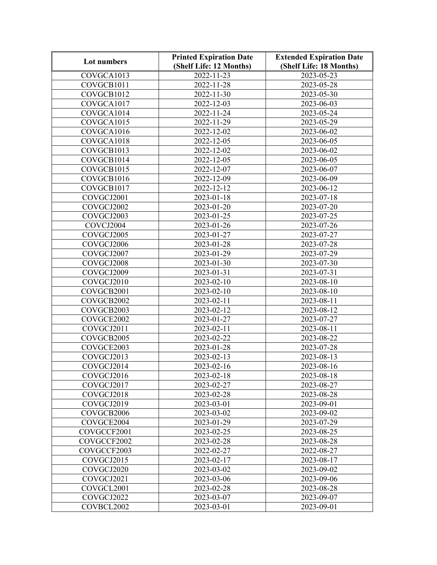| Lot numbers | <b>Printed Expiration Date</b> | <b>Extended Expiration Date</b> |
|-------------|--------------------------------|---------------------------------|
|             | (Shelf Life: 12 Months)        | (Shelf Life: 18 Months)         |
| COVGCA1013  | $2022 - 11 - 23$               | 2023-05-23                      |
| COVGCB1011  | 2022-11-28                     | 2023-05-28                      |
| COVGCB1012  | 2022-11-30                     | 2023-05-30                      |
| COVGCA1017  | 2022-12-03                     | 2023-06-03                      |
| COVGCA1014  | 2022-11-24                     | 2023-05-24                      |
| COVGCA1015  | 2022-11-29                     | 2023-05-29                      |
| COVGCA1016  | $2022 - 12 - 02$               | 2023-06-02                      |
| COVGCA1018  | 2022-12-05                     | 2023-06-05                      |
| COVGCB1013  | 2022-12-02                     | 2023-06-02                      |
| COVGCB1014  | 2022-12-05                     | 2023-06-05                      |
| COVGCB1015  | 2022-12-07                     | 2023-06-07                      |
| COVGCB1016  | 2022-12-09                     | 2023-06-09                      |
| COVGCB1017  | 2022-12-12                     | 2023-06-12                      |
| COVGCJ2001  | 2023-01-18                     | 2023-07-18                      |
| COVGCJ2002  | 2023-01-20                     | 2023-07-20                      |
| COVGCJ2003  | 2023-01-25                     | 2023-07-25                      |
| COVCJ2004   | 2023-01-26                     | 2023-07-26                      |
| COVGCJ2005  | 2023-01-27                     | 2023-07-27                      |
| COVGCJ2006  | 2023-01-28                     | 2023-07-28                      |
| COVGCJ2007  | 2023-01-29                     | 2023-07-29                      |
| COVGCJ2008  | 2023-01-30                     | 2023-07-30                      |
| COVGCJ2009  | 2023-01-31                     | 2023-07-31                      |
| COVGCJ2010  | 2023-02-10                     | 2023-08-10                      |
| COVGCB2001  | 2023-02-10                     | 2023-08-10                      |
| COVGCB2002  | 2023-02-11                     | 2023-08-11                      |
| COVGCB2003  | 2023-02-12                     | 2023-08-12                      |
| COVGCE2002  | 2023-01-27                     | 2023-07-27                      |
| COVGCJ2011  | 2023-02-11                     | 2023-08-11                      |
| COVGCB2005  | 2023-02-22                     | 2023-08-22                      |
| COVGCE2003  | 2023-01-28                     | 2023-07-28                      |
| COVGCJ2013  | 2023-02-13                     | 2023-08-13                      |
| COVGCJ2014  | 2023-02-16                     | 2023-08-16                      |
| COVGCJ2016  | 2023-02-18                     | 2023-08-18                      |
| COVGCJ2017  | 2023-02-27                     | 2023-08-27                      |
| COVGCJ2018  | 2023-02-28                     | 2023-08-28                      |
| COVGCJ2019  | 2023-03-01                     | 2023-09-01                      |
| COVGCB2006  | 2023-03-02                     | 2023-09-02                      |
| COVGCE2004  | 2023-01-29                     | 2023-07-29                      |
| COVGCCF2001 | 2023-02-25                     | 2023-08-25                      |
| COVGCCF2002 | 2023-02-28                     | 2023-08-28                      |
| COVGCCF2003 | 2022-02-27                     | 2022-08-27                      |
| COVGCJ2015  | 2023-02-17                     | 2023-08-17                      |
| COVGCJ2020  | 2023-03-02                     | 2023-09-02                      |
| COVGCJ2021  | 2023-03-06                     | 2023-09-06                      |
| COVGCL2001  | 2023-02-28                     | 2023-08-28                      |
| COVGCJ2022  | 2023-03-07                     | 2023-09-07                      |
| COVBCL2002  | 2023-03-01                     | 2023-09-01                      |